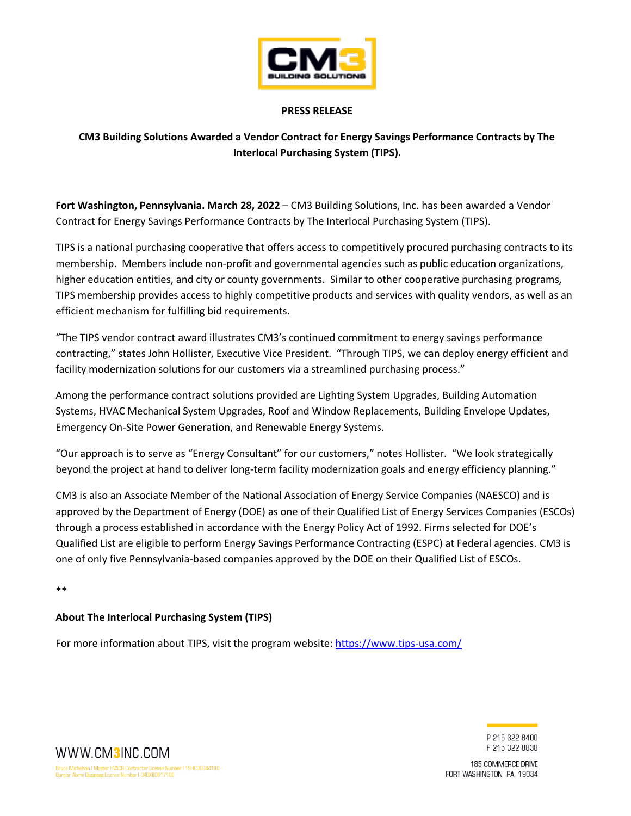

## **PRESS RELEASE**

## **CM3 Building Solutions Awarded a Vendor Contract for Energy Savings Performance Contracts by The Interlocal Purchasing System (TIPS).**

**Fort Washington, Pennsylvania. March 28, 2022** – CM3 Building Solutions, Inc. has been awarded a Vendor Contract for Energy Savings Performance Contracts by The Interlocal Purchasing System (TIPS).

TIPS is a national purchasing cooperative that offers access to competitively procured purchasing contracts to its membership. Members include non-profit and governmental agencies such as public education organizations, higher education entities, and city or county governments. Similar to other cooperative purchasing programs, TIPS membership provides access to highly competitive products and services with quality vendors, as well as an efficient mechanism for fulfilling bid requirements.

"The TIPS vendor contract award illustrates CM3's continued commitment to energy savings performance contracting," states John Hollister, Executive Vice President. "Through TIPS, we can deploy energy efficient and facility modernization solutions for our customers via a streamlined purchasing process."

Among the performance contract solutions provided are Lighting System Upgrades, Building Automation Systems, HVAC Mechanical System Upgrades, Roof and Window Replacements, Building Envelope Updates, Emergency On-Site Power Generation, and Renewable Energy Systems.

"Our approach is to serve as "Energy Consultant" for our customers," notes Hollister. "We look strategically beyond the project at hand to deliver long-term facility modernization goals and energy efficiency planning."

CM3 is also an Associate Member of the National Association of Energy Service Companies (NAESCO) and is approved by the Department of Energy (DOE) as one of their Qualified List of Energy Services Companies (ESCOs) through a process established in accordance with the Energy Policy Act of 1992. Firms selected for DOE's Qualified List are eligible to perform Energy Savings Performance Contracting (ESPC) at Federal agencies. CM3 is one of only five Pennsylvania-based companies approved by the DOE on their Qualified List of ESCOs.

**\*\***

## **About The Interlocal Purchasing System (TIPS)**

For more information about TIPS, visit the program website[: https://www.tips-usa.com/](https://www.tips-usa.com/)

P 215 322 8400 F 215 322 8838

WWW.CM3INC.COM Bruce Michelson I Master HVACR Contractor License Number I 19HC00644100 Burglar Alarm Business License Number | 34BX00017100

185 COMMERCE DRIVE FORT WASHINGTON PA 19034